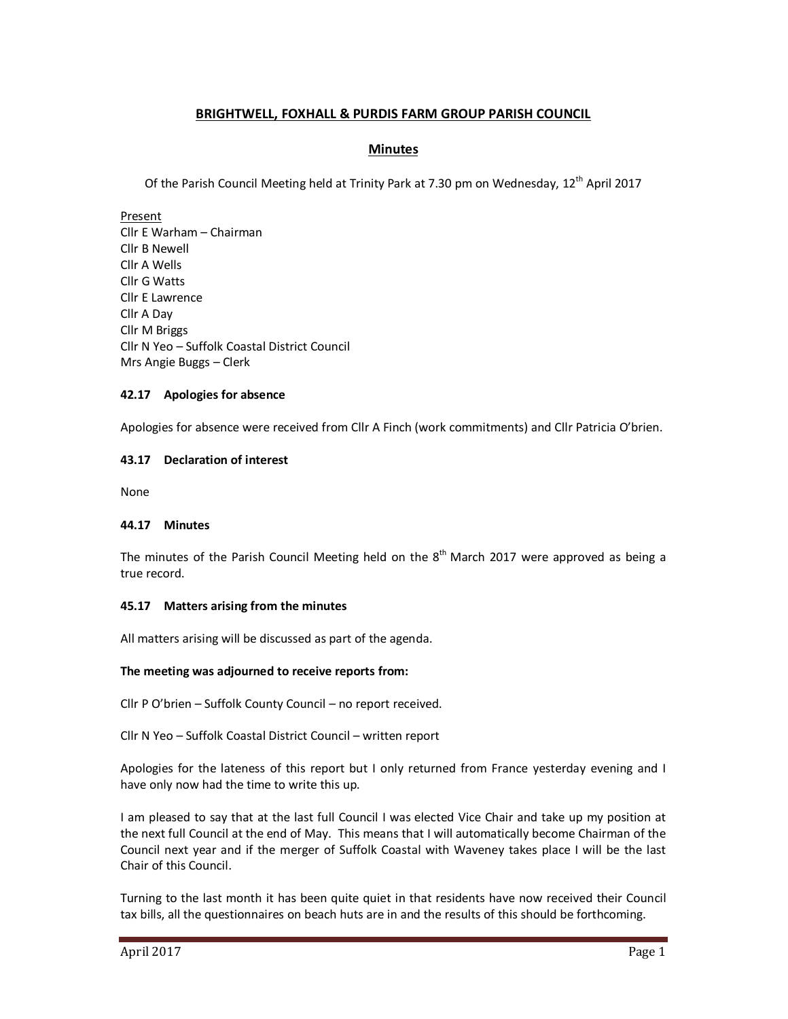# **BRIGHTWELL, FOXHALL & PURDIS FARM GROUP PARISH COUNCIL**

### **Minutes**

Of the Parish Council Meeting held at Trinity Park at 7.30 pm on Wednesday, 12<sup>th</sup> April 2017

Present Cllr E Warham – Chairman Cllr B Newell Cllr A Wells Cllr G Watts Cllr E Lawrence Cllr A Day Cllr M Briggs Cllr N Yeo – Suffolk Coastal District Council Mrs Angie Buggs – Clerk

### **42.17 Apologies for absence**

Apologies for absence were received from Cllr A Finch (work commitments) and Cllr Patricia O'brien.

### **43.17 Declaration of interest**

None

### **44.17 Minutes**

The minutes of the Parish Council Meeting held on the  $8<sup>th</sup>$  March 2017 were approved as being a true record.

### **45.17 Matters arising from the minutes**

All matters arising will be discussed as part of the agenda.

### **The meeting was adjourned to receive reports from:**

Cllr P O'brien – Suffolk County Council – no report received.

Cllr N Yeo – Suffolk Coastal District Council – written report

Apologies for the lateness of this report but I only returned from France yesterday evening and I have only now had the time to write this up.

I am pleased to say that at the last full Council I was elected Vice Chair and take up my position at the next full Council at the end of May. This means that I will automatically become Chairman of the Council next year and if the merger of Suffolk Coastal with Waveney takes place I will be the last Chair of this Council.

Turning to the last month it has been quite quiet in that residents have now received their Council tax bills, all the questionnaires on beach huts are in and the results of this should be forthcoming.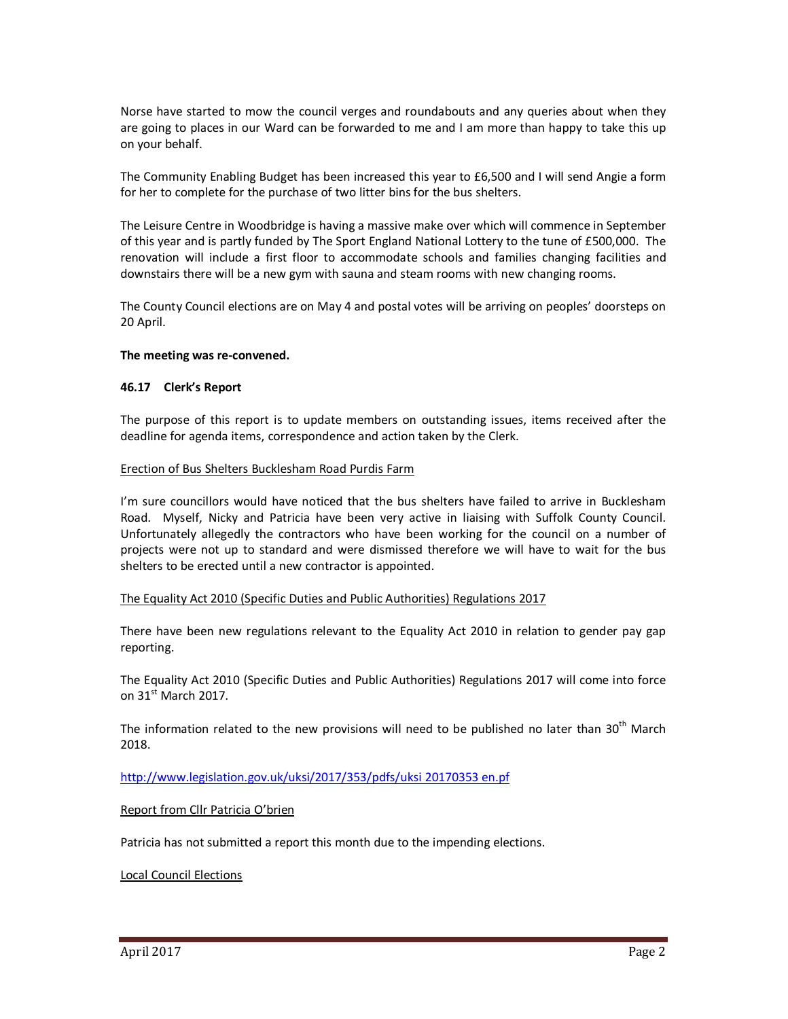Norse have started to mow the council verges and roundabouts and any queries about when they are going to places in our Ward can be forwarded to me and I am more than happy to take this up on your behalf.

The Community Enabling Budget has been increased this year to £6,500 and I will send Angie a form for her to complete for the purchase of two litter bins for the bus shelters.

The Leisure Centre in Woodbridge is having a massive make over which will commence in September of this year and is partly funded by The Sport England National Lottery to the tune of £500,000. The renovation will include a first floor to accommodate schools and families changing facilities and downstairs there will be a new gym with sauna and steam rooms with new changing rooms.

The County Council elections are on May 4 and postal votes will be arriving on peoples' doorsteps on 20 April.

### **The meeting was re-convened.**

#### **46.17 Clerk's Report**

The purpose of this report is to update members on outstanding issues, items received after the deadline for agenda items, correspondence and action taken by the Clerk.

#### Erection of Bus Shelters Bucklesham Road Purdis Farm

I'm sure councillors would have noticed that the bus shelters have failed to arrive in Bucklesham Road. Myself, Nicky and Patricia have been very active in liaising with Suffolk County Council. Unfortunately allegedly the contractors who have been working for the council on a number of projects were not up to standard and were dismissed therefore we will have to wait for the bus shelters to be erected until a new contractor is appointed.

#### The Equality Act 2010 (Specific Duties and Public Authorities) Regulations 2017

There have been new regulations relevant to the Equality Act 2010 in relation to gender pay gap reporting.

The Equality Act 2010 (Specific Duties and Public Authorities) Regulations 2017 will come into force on  $31<sup>st</sup>$  March 2017.

The information related to the new provisions will need to be published no later than 30<sup>th</sup> March 2018.

http://www.legislation.gov.uk/uksi/2017/353/pdfs/uksi 20170353 en.pf

### Report from Cllr Patricia O'brien

Patricia has not submitted a report this month due to the impending elections.

### Local Council Elections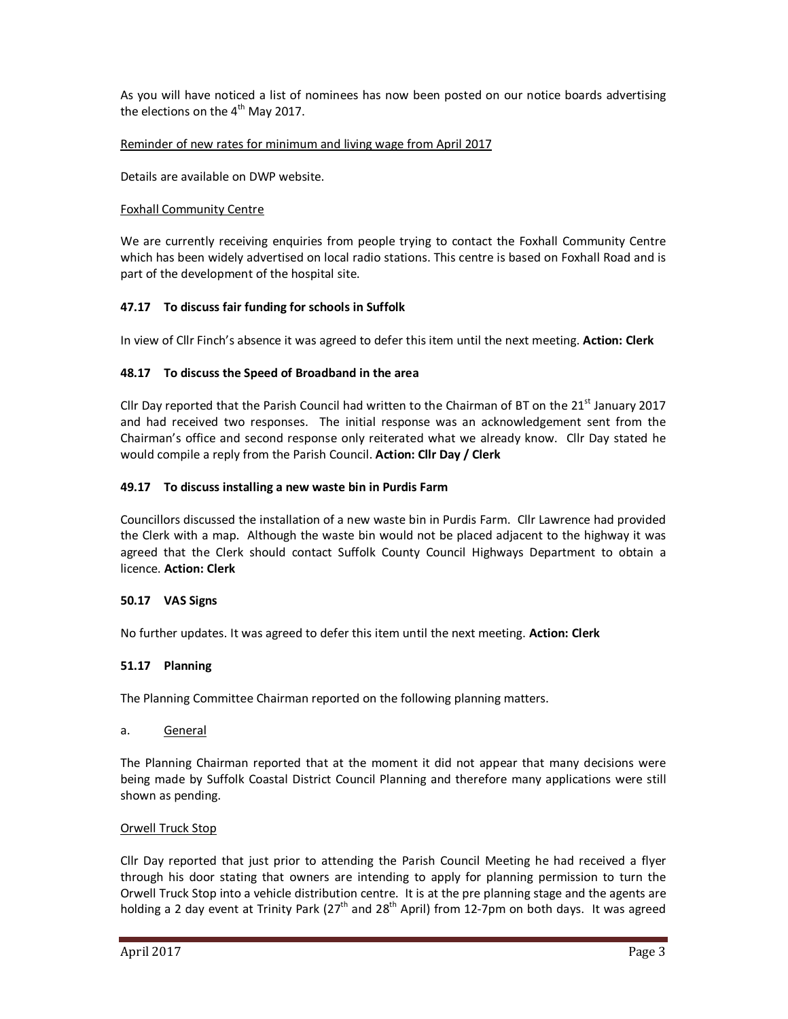As you will have noticed a list of nominees has now been posted on our notice boards advertising the elections on the  $4<sup>th</sup>$  May 2017.

### Reminder of new rates for minimum and living wage from April 2017

Details are available on DWP website.

## Foxhall Community Centre

We are currently receiving enquiries from people trying to contact the Foxhall Community Centre which has been widely advertised on local radio stations. This centre is based on Foxhall Road and is part of the development of the hospital site.

## **47.17 To discuss fair funding for schools in Suffolk**

In view of Cllr Finch's absence it was agreed to defer this item until the next meeting. **Action: Clerk** 

## **48.17 To discuss the Speed of Broadband in the area**

Cllr Day reported that the Parish Council had written to the Chairman of BT on the  $21^{st}$  January 2017 and had received two responses. The initial response was an acknowledgement sent from the Chairman's office and second response only reiterated what we already know. Cllr Day stated he would compile a reply from the Parish Council. **Action: Cllr Day / Clerk** 

## **49.17 To discuss installing a new waste bin in Purdis Farm**

Councillors discussed the installation of a new waste bin in Purdis Farm. Cllr Lawrence had provided the Clerk with a map. Although the waste bin would not be placed adjacent to the highway it was agreed that the Clerk should contact Suffolk County Council Highways Department to obtain a licence. **Action: Clerk** 

### **50.17 VAS Signs**

No further updates. It was agreed to defer this item until the next meeting. **Action: Clerk** 

# **51.17 Planning**

The Planning Committee Chairman reported on the following planning matters.

### a. General

The Planning Chairman reported that at the moment it did not appear that many decisions were being made by Suffolk Coastal District Council Planning and therefore many applications were still shown as pending.

### Orwell Truck Stop

Cllr Day reported that just prior to attending the Parish Council Meeting he had received a flyer through his door stating that owners are intending to apply for planning permission to turn the Orwell Truck Stop into a vehicle distribution centre. It is at the pre planning stage and the agents are holding a 2 day event at Trinity Park (27<sup>th</sup> and 28<sup>th</sup> April) from 12-7pm on both days. It was agreed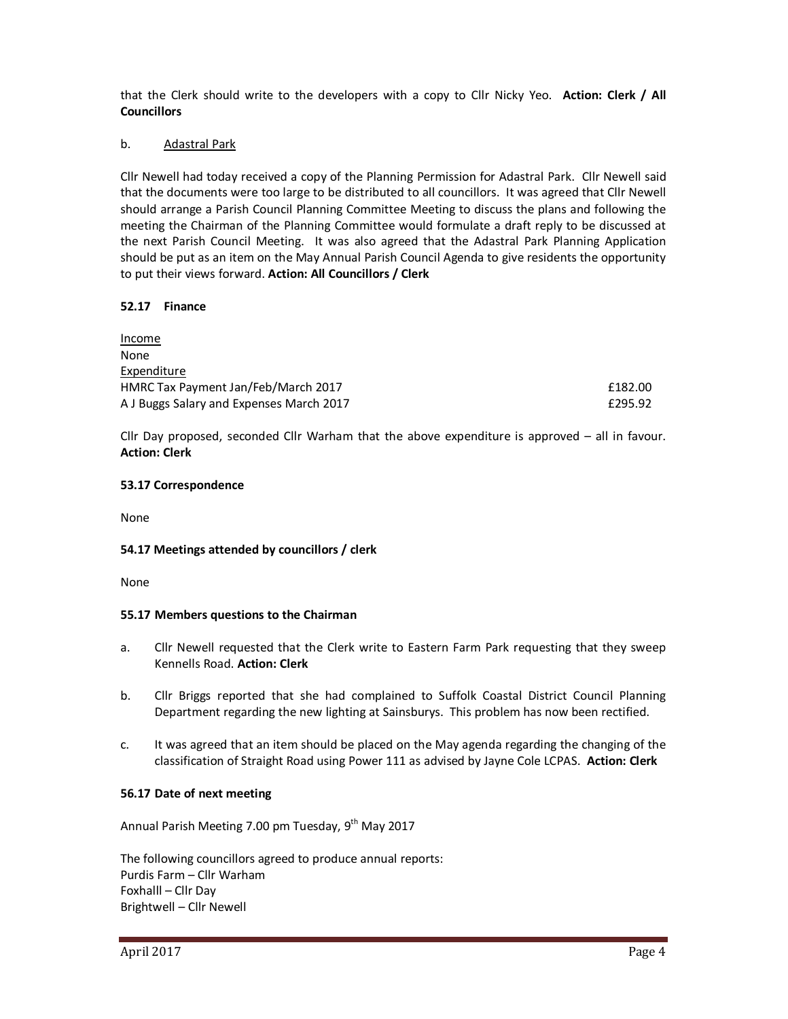that the Clerk should write to the developers with a copy to Cllr Nicky Yeo. **Action: Clerk / All Councillors** 

### b. Adastral Park

Cllr Newell had today received a copy of the Planning Permission for Adastral Park. Cllr Newell said that the documents were too large to be distributed to all councillors. It was agreed that Cllr Newell should arrange a Parish Council Planning Committee Meeting to discuss the plans and following the meeting the Chairman of the Planning Committee would formulate a draft reply to be discussed at the next Parish Council Meeting. It was also agreed that the Adastral Park Planning Application should be put as an item on the May Annual Parish Council Agenda to give residents the opportunity to put their views forward. **Action: All Councillors / Clerk** 

### **52.17 Finance**

| Income                                   |         |
|------------------------------------------|---------|
| None                                     |         |
| Expenditure                              |         |
| HMRC Tax Payment Jan/Feb/March 2017      | £182.00 |
| A J Buggs Salary and Expenses March 2017 | £295.92 |

Cllr Day proposed, seconded Cllr Warham that the above expenditure is approved – all in favour. **Action: Clerk** 

### **53.17 Correspondence**

None

### **54.17 Meetings attended by councillors / clerk**

None

### **55.17 Members questions to the Chairman**

- a. Cllr Newell requested that the Clerk write to Eastern Farm Park requesting that they sweep Kennells Road. **Action: Clerk**
- b. Cllr Briggs reported that she had complained to Suffolk Coastal District Council Planning Department regarding the new lighting at Sainsburys. This problem has now been rectified.
- c. It was agreed that an item should be placed on the May agenda regarding the changing of the classification of Straight Road using Power 111 as advised by Jayne Cole LCPAS. **Action: Clerk**

### **56.17 Date of next meeting**

Annual Parish Meeting 7.00 pm Tuesday,  $9<sup>th</sup>$  May 2017

The following councillors agreed to produce annual reports: Purdis Farm – Cllr Warham Foxhalll – Cllr Day Brightwell – Cllr Newell